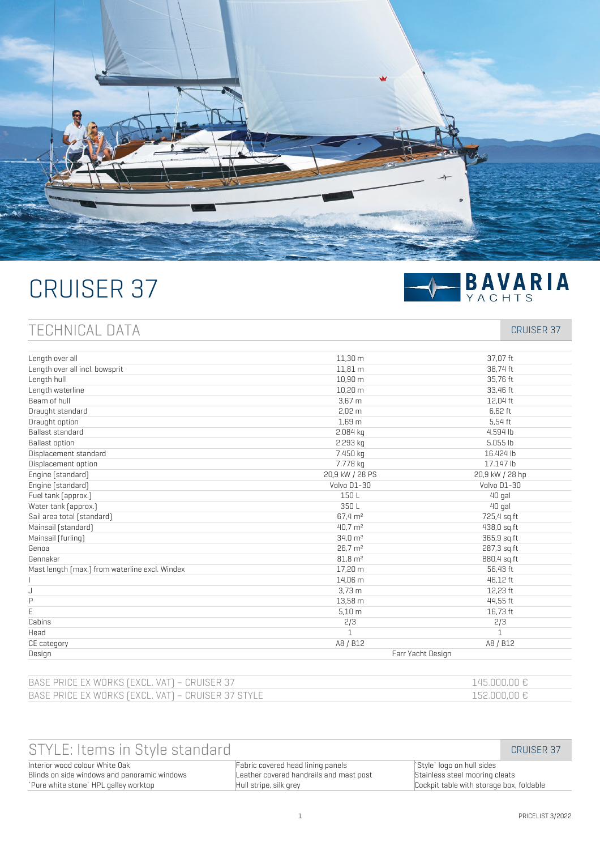

# CRUISER 37



# TECHNICAL DATA CRUISER 37

| Length over all                                | 11.30 m             | 37.07 ft        |
|------------------------------------------------|---------------------|-----------------|
| Length over all incl. bowsprit                 | 11,81 m             | 38,74 ft        |
| Length hull                                    | 10.90 m             | 35,76 ft        |
| Length waterline                               | 10,20 m             | 33,46 ft        |
| Beam of hull                                   | 3.67 <sub>m</sub>   | 12,04 ft        |
| Draught standard                               | 2.02 <sub>m</sub>   | 6.62 ft         |
| Draught option                                 | 1,69 m              | 5,54 ft         |
| Ballast standard                               | 2.084 kg            | 4.594 lb        |
| <b>Ballast option</b>                          | 2.293 kg            | 5.055 lb        |
| Displacement standard                          | 7.450 kg            | 16.424 lb       |
| Displacement option                            | 7.778 kg            | 17.147 lb       |
| Engine [standard]                              | 20,9 kW / 28 PS     | 20,9 kW / 28 hp |
| Engine [standard]                              | Volvo D1-30         | Volvo D1-30     |
| Fuel tank [approx.]                            | 150L                | 40 gal          |
| Water tank [approx.]                           | 350 <sub>1</sub>    | 40 gal          |
| Sail area total [standard]                     | 67,4 m <sup>2</sup> | 725,4 sq.ft     |
| Mainsail [standard]                            | $40.7 \text{ m}^2$  | 438,0 sq.ft     |
| Mainsail [furling]                             | $34.0 \text{ m}^2$  | 365,9 sq.ft     |
| Genoa                                          | 26.7 m <sup>2</sup> | 287,3 sq.ft     |
| Gennaker                                       | $81,8 \text{ m}^2$  | 880,4 sq.ft     |
| Mast length [max.] from waterline excl. Windex | 17.20 m             | 56,43 ft        |
|                                                | 14,06 m             | 46,12 ft        |
| J                                              | $3,73$ m            | 12,23 ft        |
| P                                              | 13,58 m             | 44,55 ft        |
| Ë                                              | 5.10 <sub>m</sub>   | 16,73 ft        |
| Cabins                                         | 2/3                 | 2/3             |
| Head                                           | $\mathbf{1}$        | $\mathbf{1}$    |
| CE category                                    | A8 / B12            | A8 / B12        |
| Design                                         | Farr Yacht Design   |                 |

| BASE PRICE EX WORKS (EXCL. VAT) – CRUISER 37       | 145,000,00 € |
|----------------------------------------------------|--------------|
| BASE PRICE EX WORKS (EXCL. VAT) - CRUISER 37 STYLE | 152,000,00€  |

| STYLE: Items in Style standard               |                                         |                                          | CRUISER 37 |
|----------------------------------------------|-----------------------------------------|------------------------------------------|------------|
| Interior wood colour White Oak               | Fabric covered head lining panels       | Style` logo on hull sides                |            |
| Blinds on side windows and panoramic windows | Leather covered handrails and mast post | Stainless steel mooring cleats           |            |
| `Pure white stone`HPL galley worktop         | Hull stripe, silk grey                  | Cockpit table with storage box, foldable |            |
|                                              |                                         |                                          |            |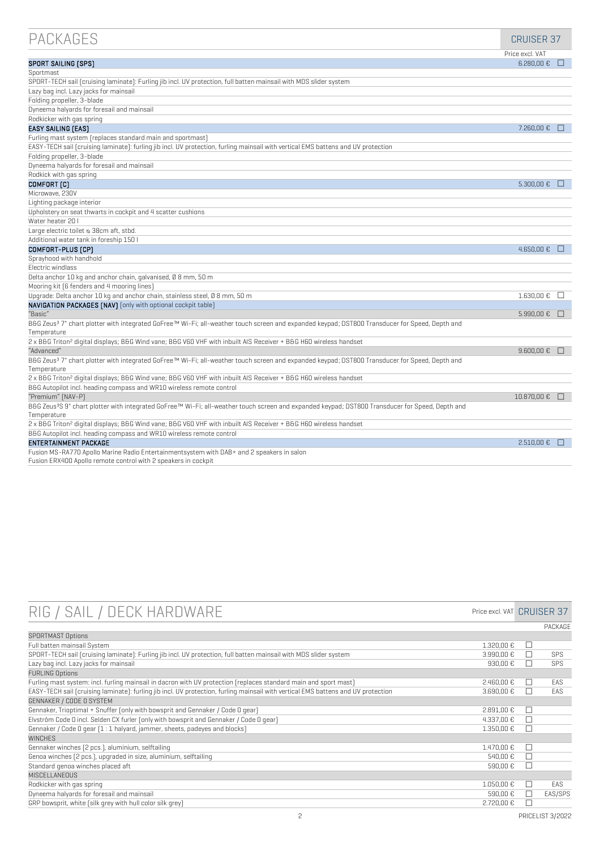| <b>PACKAGES</b>                                                                                                                                              | <b>CRUISER 37</b>           |        |
|--------------------------------------------------------------------------------------------------------------------------------------------------------------|-----------------------------|--------|
|                                                                                                                                                              | Price excl. VAT             |        |
| <b>SPORT SAILING [SPS]</b>                                                                                                                                   | $6.280.00 \text{ E}$ $\Box$ |        |
| Sportmast                                                                                                                                                    |                             |        |
| SPORT-TECH sail (cruising laminate): Furling jib incl. UV protection, full batten mainsail with MDS slider system                                            |                             |        |
| Lazy bag incl. Lazy jacks for mainsail                                                                                                                       |                             |        |
| Folding propeller, 3-blade                                                                                                                                   |                             |        |
| Dyneema halyards for foresail and mainsail                                                                                                                   |                             |        |
| Rodkicker with gas spring                                                                                                                                    |                             |        |
| <b>EASY SAILING [EAS]</b>                                                                                                                                    | 7.260.00 €                  | H      |
| Furling mast system (replaces standard main and sportmast)                                                                                                   |                             |        |
| EASY-TECH sail (cruising laminate): furling jib incl. UV protection, furling mainsail with vertical EMS battens and UV protection                            |                             |        |
| Folding propeller, 3-blade                                                                                                                                   |                             |        |
| Dyneema halyards for foresail and mainsail                                                                                                                   |                             |        |
| Rodkick with gas spring                                                                                                                                      |                             |        |
| COMFORT [C]                                                                                                                                                  | $5.300,00 \in □$            |        |
| Microwave, 230V                                                                                                                                              |                             |        |
| Lighting package interior                                                                                                                                    |                             |        |
| Upholstery on seat thwarts in cockpit and 4 scatter cushions                                                                                                 |                             |        |
| Water heater 20 I                                                                                                                                            |                             |        |
| Large electric toilet & 38cm aft, stbd.                                                                                                                      |                             |        |
| Additional water tank in foreship 150 l                                                                                                                      |                             |        |
| COMFORT-PLUS [CP]                                                                                                                                            | 4.650.00 €                  | m      |
| Sprayhood with handhold                                                                                                                                      |                             |        |
| Electric windlass                                                                                                                                            |                             |        |
| Delta anchor 10 kg and anchor chain, galvanised, Ø 8 mm, 50 m                                                                                                |                             |        |
| Mooring kit [6 fenders and 4 mooring lines]                                                                                                                  |                             |        |
| Upgrade: Delta anchor 10 kg and anchor chain, stainless steel, Ø 8 mm, 50 m                                                                                  | 1.630,00 €                  | П      |
| NAVIGATION PACKAGES [NAV] [only with optional cockpit table]                                                                                                 |                             |        |
| "Basic"                                                                                                                                                      | $5.990.00 € \square$        |        |
| B&G Zeus <sup>3</sup> 7" chart plotter with integrated GoFree™ Wi-Fi; all-weather touch screen and expanded keypad; DST800 Transducer for Speed, Depth and   |                             |        |
| Temperature                                                                                                                                                  |                             |        |
| 2 x B&G Triton <sup>2</sup> digital displays; B&G Wind vane; B&G V60 VHF with inbuilt AIS Receiver + B&G H60 wireless handset                                |                             |        |
| "Advanced"                                                                                                                                                   | $9.600,00 \in □$            |        |
| B&G Zeus <sup>3</sup> 7" chart plotter with integrated GoFree™ Wi-Fi; all-weather touch screen and expanded keypad; DST800 Transducer for Speed, Depth and   |                             |        |
| Temperature                                                                                                                                                  |                             |        |
| 2 x B&G Triton <sup>2</sup> digital displays; B&G Wind vane; B&G V60 VHF with inbuilt AIS Receiver + B&G H60 wireless handset                                |                             |        |
| B&G Autopilot incl. heading compass and WR10 wireless remote control                                                                                         |                             |        |
| "Premium" [NAV-P]                                                                                                                                            | 10.870,00 €                 | $\Box$ |
| B&G Zeus <sup>3</sup> S 9" chart plotter with integrated GoFree™ Wi-Fi; all-weather touch screen and expanded keypad; DST800 Transducer for Speed, Depth and |                             |        |
| Temperature                                                                                                                                                  |                             |        |
| 2 x B&G Triton <sup>2</sup> digital displays; B&G Wind vane; B&G V60 VHF with inbuilt AIS Receiver + B&G H60 wireless handset                                |                             |        |
| B&G Autopilot incl. heading compass and WR10 wireless remote control                                                                                         |                             |        |
| ENTERTAINMENT PACKAGE                                                                                                                                        | 2.510.00€                   | n      |
| Fusion MS-RA770 Apollo Marine Radio Entertainmentsystem with DAB+ and 2 speakers in salon<br>$\sim$ $\sim$ $\sim$                                            |                             |        |

|  |  |  | Fusion ERX400 Apollo remote control with 2 speakers in cockpit |  |
|--|--|--|----------------------------------------------------------------|--|

| RIG / SAIL / DECK HARDWARE                                                                                                        | Price excl. VAT CRUISER 37 |        |            |
|-----------------------------------------------------------------------------------------------------------------------------------|----------------------------|--------|------------|
|                                                                                                                                   |                            |        | PACKAGE    |
| <b>SPORTMAST Options</b>                                                                                                          |                            |        |            |
| Full batten mainsail System                                                                                                       | 1.320.00 €                 | ΙI     |            |
| SPORT-TECH sail (cruising laminate): Furling jib incl. UV protection, full batten mainsail with MDS slider system                 | 3.990.00 €                 | $\Box$ | SPS        |
| Lazy bag incl. Lazy jacks for mainsail                                                                                            | 930.00 €                   | $\Box$ | <b>SPS</b> |
| <b>FURLING Options</b>                                                                                                            |                            |        |            |
| Furling mast system: incl. furling mainsail in dacron with UV protection (replaces standard main and sport mast)                  | 2.460.00€                  | H      | FAS        |
| EASY-TECH sail [cruising laminate]: furling jib incl. UV protection, furling mainsail with vertical EMS battens and UV protection | 3.690,00 €                 | П      | EAS        |
| GENNAKER / CODE O SYSTEM                                                                                                          |                            |        |            |
| Gennaker, Trioptimal + Snuffer [only with bowsprit and Gennaker / Code O gear]                                                    | 2.891.00 €                 | $\Box$ |            |
| Elvström Code 0 incl. Selden CX furler (only with bowsprit and Gennaker / Code 0 qear)                                            | 4.337.00 €                 |        |            |
| Gennaker / Code O gear [1 : 1 halyard, jammer, sheets, padeyes and blocks]                                                        | 1.350.00 €                 | П      |            |
| <b>WINCHES</b>                                                                                                                    |                            |        |            |
| Gennaker winches [2 pcs.], aluminium, selftailing                                                                                 | 1.470.00 €                 | П      |            |
| Genoa winches [2 pcs.], upgraded in size, aluminium, selftailing                                                                  | 540.00 €                   | $\Box$ |            |
| Standard genoa winches placed aft                                                                                                 | 590,00 €                   | H      |            |
| MISCELLANEOUS                                                                                                                     |                            |        |            |
| Rodkicker with gas spring                                                                                                         | 1.050.00 €                 | $\Box$ | EAS        |
| Dyneema halyards for foresail and mainsail                                                                                        | 590,00 €                   | ΙI     | EAS/SPS    |
| GRP bowsprit, white (silk grey with hull color silk grey)                                                                         | 2.720.00€                  |        |            |
|                                                                                                                                   |                            |        |            |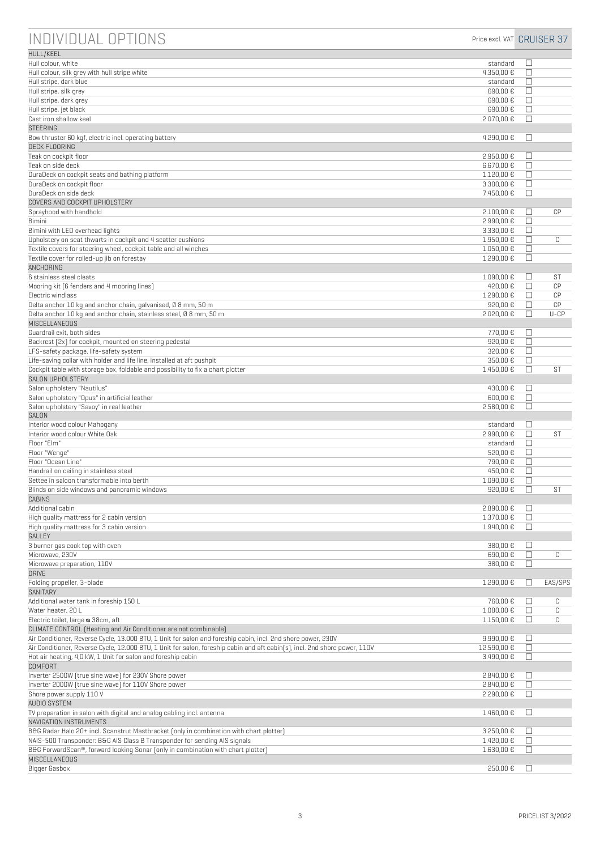| INDIVIDUAL OPTIONS                                                                                                                                                                         | Price excl. VAT CRUISER 37 |             |           |
|--------------------------------------------------------------------------------------------------------------------------------------------------------------------------------------------|----------------------------|-------------|-----------|
| <b>HULL/KEEL</b>                                                                                                                                                                           |                            |             |           |
| Hull colour, white<br>Hull colour, silk grey with hull stripe white                                                                                                                        | standard<br>4.350,00 €     | □           |           |
| Hull stripe, dark blue                                                                                                                                                                     | standard                   | $\Box$<br>□ |           |
| Hull stripe, silk grey                                                                                                                                                                     | 690,00€                    | П           |           |
| Hull stripe, dark grey                                                                                                                                                                     | 690,00€                    | П           |           |
| Hull stripe, jet black                                                                                                                                                                     | 690,00€                    | $\Box$      |           |
| Cast iron shallow keel                                                                                                                                                                     | 2.070,00 €                 | $\Box$      |           |
| <b>STEERING</b><br>Bow thruster 60 kgf, electric incl. operating battery                                                                                                                   | 4.290,00 €                 | □           |           |
| <b>DECK FLOORING</b>                                                                                                                                                                       |                            |             |           |
| Teak on cockpit floor                                                                                                                                                                      | 2.950,00€                  | $\Box$      |           |
| Teak on side deck                                                                                                                                                                          | 6.670,00 €                 | □           |           |
| DuraDeck on cockpit seats and bathing platform                                                                                                                                             | 1.120,00 €                 | □           |           |
| DuraDeck on cockpit floor<br>DuraDeck on side deck                                                                                                                                         | 3.300,00 €<br>7.450,00 €   | □<br>$\Box$ |           |
| COVERS AND COCKPIT UPHOLSTERY                                                                                                                                                              |                            |             |           |
| Sprayhood with handhold                                                                                                                                                                    | 2.100,00 €                 | □           | CP        |
| Bimini                                                                                                                                                                                     | 2.990,00 €                 | □           |           |
| Bimini with LED overhead lights                                                                                                                                                            | 3.330,00 €                 | □           |           |
| Upholstery on seat thwarts in cockpit and 4 scatter cushions                                                                                                                               | 1.950,00 €                 | П           | C         |
| Textile covers for steering wheel, cockpit table and all winches                                                                                                                           | 1.050.00 €                 | □           |           |
| Textile cover for rolled-up jib on forestay<br>ANCHORING                                                                                                                                   | 1.290,00 €                 | $\Box$      |           |
| 6 stainless steel cleats                                                                                                                                                                   | 1.090,00 €                 | $\Box$      | ST        |
| Mooring kit (6 fenders and 4 mooring lines)                                                                                                                                                | 420.00 €                   | □           | CP        |
| Electric windlass                                                                                                                                                                          | 1.290,00 €                 | П           | CP        |
| Delta anchor 10 kg and anchor chain, galvanised, 0 8 mm, 50 m                                                                                                                              | 920.00€                    | П           | CP        |
| Delta anchor 10 kg and anchor chain, stainless steel, 0 8 mm, 50 m                                                                                                                         | 2.020,00 €                 | П           | $U$ -CP   |
| MISCELLANEOUS                                                                                                                                                                              |                            |             |           |
| Guardrail exit, both sides<br>Backrest [2x] for cockpit, mounted on steering pedestal                                                                                                      | 770,00 €<br>920,00 €       | □<br>$\Box$ |           |
| LFS-safety package, life-safety system                                                                                                                                                     | 320,00 €                   | □           |           |
| Life-saving collar with holder and life line, installed at aft pushpit                                                                                                                     | 350,00 €                   | □           |           |
| Cockpit table with storage box, foldable and possibility to fix a chart plotter                                                                                                            | 1.450,00 €                 | П           | <b>ST</b> |
| SALON UPHOLSTERY                                                                                                                                                                           |                            |             |           |
| Salon upholstery "Nautilus"<br>Salon upholstery "Opus" in artificial leather                                                                                                               | 430,00 €<br>600,00€        | □<br>$\Box$ |           |
| Salon upholstery "Savoy" in real leather                                                                                                                                                   | 2.580,00 €                 | □           |           |
| SALON                                                                                                                                                                                      |                            |             |           |
| Interior wood colour Mahogany                                                                                                                                                              | standard                   | $\Box$      |           |
| Interior wood colour White Oak                                                                                                                                                             | 2.990,00 €                 | $\Box$      | ST        |
| Floor "Elm"                                                                                                                                                                                | standard                   | $\Box$      |           |
| Floor "Wenge"<br>Floor "Ocean Line"                                                                                                                                                        | 520,00 €<br>790,00 €       | □<br>$\Box$ |           |
| Handrail on ceiling in stainless steel                                                                                                                                                     | 450,00€                    | □           |           |
| Settee in saloon transformable into berth                                                                                                                                                  | 1.090,00 €                 | $\Box$      |           |
| Blinds on side windows and panoramic windows                                                                                                                                               | 920,00€                    | $\Box$      | ST        |
| CABINS                                                                                                                                                                                     |                            |             |           |
| Additional cabin                                                                                                                                                                           | 2.890,00 €                 | □           |           |
| High quality mattress for 2 cabin version<br>High quality mattress for 3 cabin version                                                                                                     | 1.370,00 €<br>1.940,00 €   | $\Box$<br>□ |           |
| GALLEY                                                                                                                                                                                     |                            |             |           |
| 3 burner gas cook top with oven                                                                                                                                                            | 380,00 €                   | $\Box$      |           |
| Microwave, 230V                                                                                                                                                                            | 690,00€                    | $\Box$      | С         |
| Microwave preparation, 110V                                                                                                                                                                | 380,00€                    | □           |           |
| <b>DRIVE</b>                                                                                                                                                                               |                            |             |           |
| Folding propeller, 3-blade<br>SANITARY                                                                                                                                                     | 1.290,00 €                 | П           | EAS/SPS   |
| Additional water tank in foreship 150 L                                                                                                                                                    | 760,00 €                   | $\Box$      | C         |
| Water heater, 20 L                                                                                                                                                                         | 1.080,00 €                 | $\Box$      | С         |
| Electric toilet, large @ 38cm, aft                                                                                                                                                         | 1.150,00 €                 | $\Box$      | C         |
| CLIMATE CONTROL [Heating and Air Conditioner are not combinable]                                                                                                                           |                            |             |           |
| Air Conditioner, Reverse Cycle, 13.000 BTU, 1 Unit for salon and foreship cabin, incl. 2nd shore power, 230V                                                                               | 9.990,00 €                 | □           |           |
| Air Conditioner, Reverse Cycle, 12.000 BTU, 1 Unit for salon, foreship cabin and aft cabin[s], incl. 2nd shore power, 110V<br>Hot air heating, 4,0 kW, 1 Unit for salon and foreship cabin | 12.590,00 €<br>3.490,00 €  | □<br>□      |           |
| <b>COMFORT</b>                                                                                                                                                                             |                            |             |           |
| Inverter 2500W [true sine wave] for 230V Shore power                                                                                                                                       | 2.840,00 €                 | □           |           |
| Inverter 2000W (true sine wave) for 110V Shore power                                                                                                                                       | 2.840,00 €                 | □           |           |
| Shore power supply 110 V                                                                                                                                                                   | 2.290,00 €                 | □           |           |
| AUDIO SYSTEM                                                                                                                                                                               |                            |             |           |
| TV preparation in salon with digital and analog cabling incl. antenna<br>NAVIGATION INSTRUMENTS                                                                                            | 1.460,00 €                 | □           |           |
| B&G Radar Halo 20+ incl. Scanstrut Mastbracket (only in combination with chart plotter)                                                                                                    | 3.250,00 €                 | □           |           |
| NAIS-500 Transponder: B&G AIS Class B Transponder for sending AIS signals                                                                                                                  | 1.420,00 €                 | $\Box$      |           |
| B&G ForwardScan®, forward looking Sonar (only in combination with chart plotter)                                                                                                           | 1.630,00 €                 | □           |           |
| MISCELLANEOUS                                                                                                                                                                              |                            |             |           |
| Bigger Gasbox                                                                                                                                                                              | 250,00€                    | □           |           |